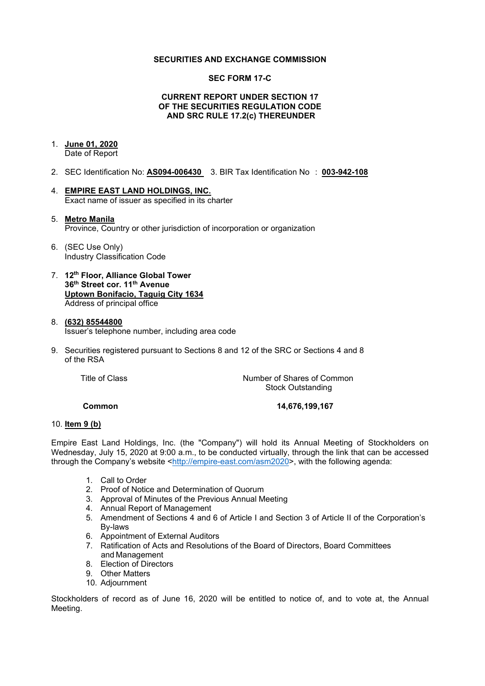### **SECURITIES AND EXCHANGE COMMISSION**

### **SEC FORM 17-C**

#### **CURRENT REPORT UNDER SECTION 17 OF THE SECURITIES REGULATION CODE AND SRC RULE 17.2(c) THEREUNDER**

# 1. **June 01, 2020**

Date of Report

- 2. SEC Identification No: **AS094-006430** 3. BIR Tax Identification No : **003-942-108**
- 4. **EMPIRE EAST LAND HOLDINGS, INC.** Exact name of issuer as specified in its charter

#### 5. **Metro Manila** Province, Country or other jurisdiction of incorporation or organization

- 6. (SEC Use Only) Industry Classification Code
- 7. **12th Floor, Alliance Global Tower 36th Street cor. 11th Avenue Uptown Bonifacio, Taguig City 1634** Address of principal office

#### 8. **(632) 85544800** Issuer's telephone number, including area code

9. Securities registered pursuant to Sections 8 and 12 of the SRC or Sections 4 and 8 of the RSA

Title of Class *Number of Shares of Common* Stock Outstanding

**Common 14,676,199,167**

#### 10. **Item 9 (b)**

Empire East Land Holdings, Inc. (the "Company") will hold its Annual Meeting of Stockholders on Wednesday, July 15, 2020 at 9:00 a.m., to be conducted virtually, through the link that can be accessed through the Company's website [<http://empire-east.com/asm2020>](http://empire-east.com/asm2020), with the following agenda:

- 1. Call to Order
- 2. Proof of Notice and Determination of Quorum
- 3. Approval of Minutes of the Previous Annual Meeting
- 4. Annual Report of Management
- 5. Amendment of Sections 4 and 6 of Article I and Section 3 of Article II of the Corporation's By-laws
- 6. Appointment of External Auditors
- 7. Ratification of Acts and Resolutions of the Board of Directors, Board Committees and Management
- 8. Election of Directors
- 9. Other Matters
- 10. Adjournment

Stockholders of record as of June 16, 2020 will be entitled to notice of, and to vote at, the Annual Meeting.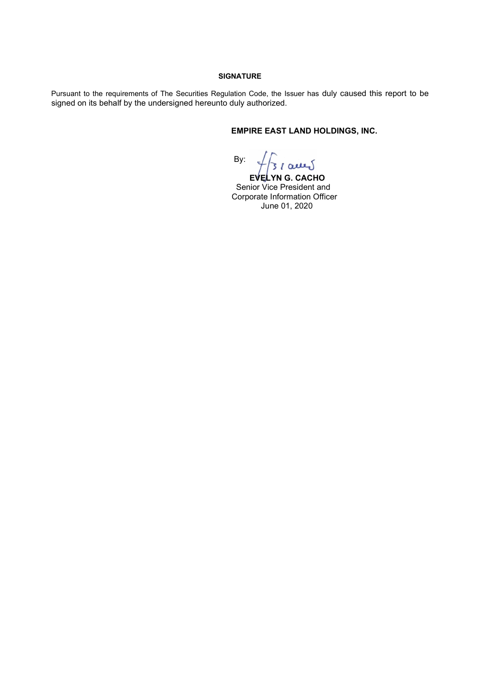#### **SIGNATURE**

Pursuant to the requirements of The Securities Regulation Code, the Issuer has duly caused this report to be signed on its behalf by the undersigned hereunto duly authorized.

# **EMPIRE EAST LAND HOLDINGS, INC.**

By:

 **EVELYN G. CACHO** Senior Vice President and Corporate Information Officer June 01, 2020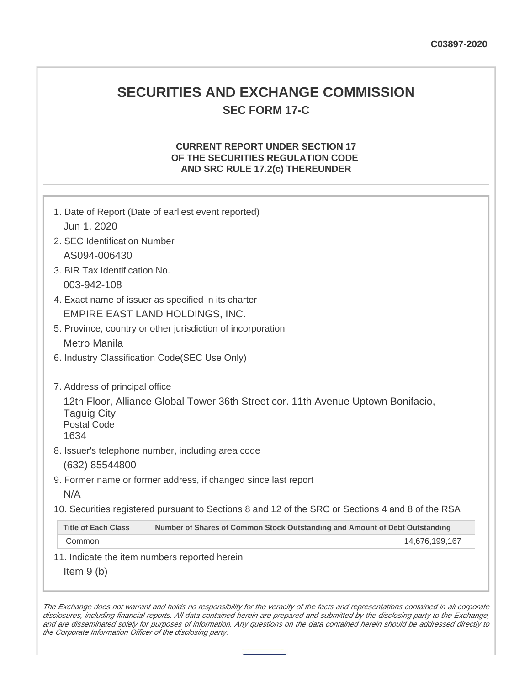# **SECURITIES AND EXCHANGE COMMISSION SEC FORM 17-C**

### **CURRENT REPORT UNDER SECTION 17 OF THE SECURITIES REGULATION CODE AND SRC RULE 17.2(c) THEREUNDER**

| 1. Date of Report (Date of earliest event reported)<br>Jun 1, 2020                                                                   |                                                                             |  |  |  |
|--------------------------------------------------------------------------------------------------------------------------------------|-----------------------------------------------------------------------------|--|--|--|
| 2. SEC Identification Number                                                                                                         |                                                                             |  |  |  |
| AS094-006430                                                                                                                         |                                                                             |  |  |  |
| 3. BIR Tax Identification No.                                                                                                        |                                                                             |  |  |  |
| 003-942-108                                                                                                                          |                                                                             |  |  |  |
| 4. Exact name of issuer as specified in its charter                                                                                  |                                                                             |  |  |  |
| EMPIRE EAST LAND HOLDINGS, INC.                                                                                                      |                                                                             |  |  |  |
| 5. Province, country or other jurisdiction of incorporation                                                                          |                                                                             |  |  |  |
| <b>Metro Manila</b>                                                                                                                  |                                                                             |  |  |  |
| 6. Industry Classification Code(SEC Use Only)                                                                                        |                                                                             |  |  |  |
| 7. Address of principal office                                                                                                       |                                                                             |  |  |  |
| 12th Floor, Alliance Global Tower 36th Street cor. 11th Avenue Uptown Bonifacio,<br><b>Taguig City</b><br><b>Postal Code</b><br>1634 |                                                                             |  |  |  |
| 8. Issuer's telephone number, including area code                                                                                    |                                                                             |  |  |  |
| (632) 85544800                                                                                                                       |                                                                             |  |  |  |
| 9. Former name or former address, if changed since last report                                                                       |                                                                             |  |  |  |
| N/A                                                                                                                                  |                                                                             |  |  |  |
| 10. Securities registered pursuant to Sections 8 and 12 of the SRC or Sections 4 and 8 of the RSA                                    |                                                                             |  |  |  |
| <b>Title of Each Class</b>                                                                                                           | Number of Shares of Common Stock Outstanding and Amount of Debt Outstanding |  |  |  |
| Common                                                                                                                               | 14,676,199,167                                                              |  |  |  |
| 11. Indicate the item numbers reported herein                                                                                        |                                                                             |  |  |  |
| Item $9(b)$                                                                                                                          |                                                                             |  |  |  |

The Exchange does not warrant and holds no responsibility for the veracity of the facts and representations contained in all corporate disclosures, including financial reports. All data contained herein are prepared and submitted by the disclosing party to the Exchange, and are disseminated solely for purposes of information. Any questions on the data contained herein should be addressed directly to the Corporate Information Officer of the disclosing party.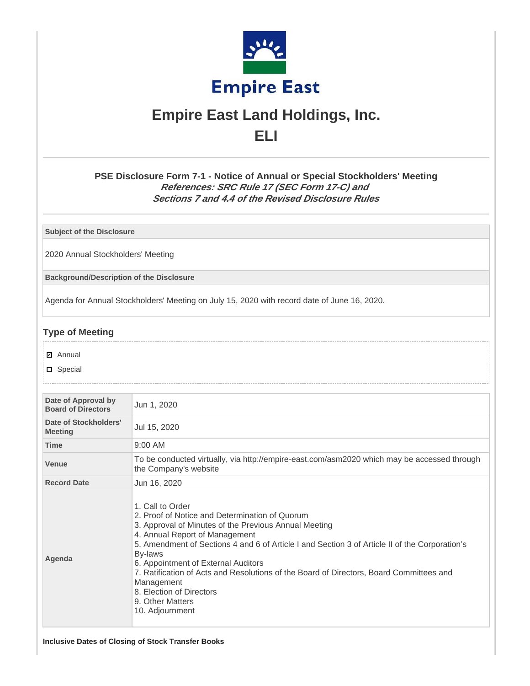

# **Empire East Land Holdings, Inc. ELI**

**PSE Disclosure Form 7-1 - Notice of Annual or Special Stockholders' Meeting References: SRC Rule 17 (SEC Form 17-C) and Sections 7 and 4.4 of the Revised Disclosure Rules**

**Subject of the Disclosure**

2020 Annual Stockholders' Meeting

**Background/Description of the Disclosure**

Agenda for Annual Stockholders' Meeting on July 15, 2020 with record date of June 16, 2020.

## **Type of Meeting**

- **☑** Annual
- D Special

| Date of Approval by<br><b>Board of Directors</b> | Jun 1, 2020                                                                                                                                                                                                                                                                                                                                                                                                                                                                                   |  |  |
|--------------------------------------------------|-----------------------------------------------------------------------------------------------------------------------------------------------------------------------------------------------------------------------------------------------------------------------------------------------------------------------------------------------------------------------------------------------------------------------------------------------------------------------------------------------|--|--|
| Date of Stockholders'<br><b>Meeting</b>          | Jul 15, 2020                                                                                                                                                                                                                                                                                                                                                                                                                                                                                  |  |  |
| <b>Time</b>                                      | $9:00$ AM                                                                                                                                                                                                                                                                                                                                                                                                                                                                                     |  |  |
| Venue                                            | To be conducted virtually, via http://empire-east.com/asm2020 which may be accessed through<br>the Company's website                                                                                                                                                                                                                                                                                                                                                                          |  |  |
| <b>Record Date</b>                               | Jun 16, 2020                                                                                                                                                                                                                                                                                                                                                                                                                                                                                  |  |  |
| Agenda                                           | 1. Call to Order<br>2. Proof of Notice and Determination of Quorum<br>3. Approval of Minutes of the Previous Annual Meeting<br>4. Annual Report of Management<br>5. Amendment of Sections 4 and 6 of Article I and Section 3 of Article II of the Corporation's<br>By-laws<br>6. Appointment of External Auditors<br>7. Ratification of Acts and Resolutions of the Board of Directors, Board Committees and<br>Management<br>8. Election of Directors<br>9. Other Matters<br>10. Adjournment |  |  |

**Inclusive Dates of Closing of Stock Transfer Books**